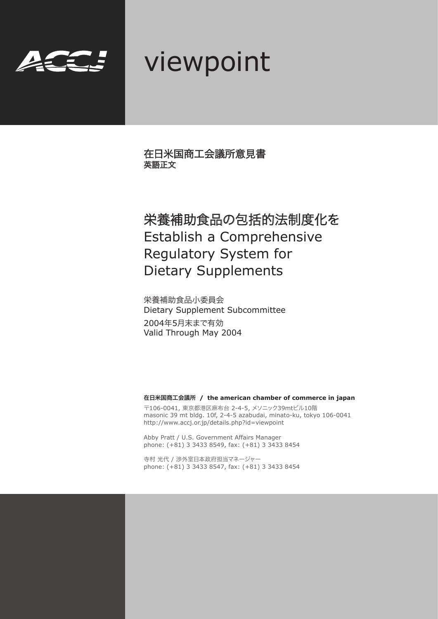

# viewpoint

在日米国商工会議所意見書 英語正文

## 栄養補助食品の包括的法制度化を Establish a Comprehensive Regulatory System for Dietary Supplements

栄養補助食品小委員会 Dietary Supplement Subcommittee 2004年5月末まで有効 Valid Through May 2004

在日米国商工会議所 **/ the american chamber of commerce in japan**

〒106-0041, 東京都港区麻布台 2-4-5, メソニック39mtビル10階 masonic 39 mt bldg. 10f, 2-4-5 azabudai, minato-ku, tokyo 106-0041 http://www.accj.or.jp/details.php?id=viewpoint

Abby Pratt / U.S. Government Affairs Manager phone: (+81) 3 3433 8549, fax: (+81) 3 3433 8454

寺村 光代 / 渉外室日本政府担当マネージャー phone: (+81) 3 3433 8547, fax: (+81) 3 3433 8454

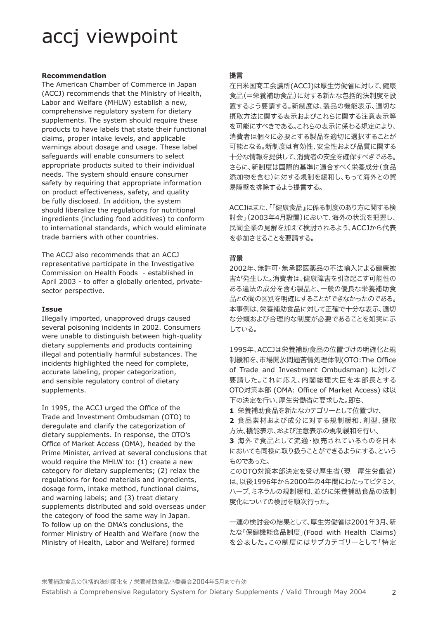## accj viewpoint

#### **Recommendation**

The American Chamber of Commerce in Japan (ACCJ) recommends that the Ministry of Health, Labor and Welfare (MHLW) establish a new, comprehensive regulatory system for dietary supplements. The system should require these products to have labels that state their functional claims, proper intake levels, and applicable warnings about dosage and usage. These label safeguards will enable consumers to select appropriate products suited to their individual needs. The system should ensure consumer safety by requiring that appropriate information on product effectiveness, safety, and quality be fully disclosed. In addition, the system should liberalize the regulations for nutritional ingredients (including food additives) to conform to international standards, which would eliminate trade barriers with other countries.

The ACCJ also recommends that an ACCJ representative participate in the Investigative Commission on Health Foods - established in April 2003 - to offer a globally oriented, privatesector perspective.

#### **Issue**

Illegally imported, unapproved drugs caused several poisoning incidents in 2002. Consumers were unable to distinguish between high-quality dietary supplements and products containing illegal and potentially harmful substances. The incidents highlighted the need for complete, accurate labeling, proper categorization, and sensible regulatory control of dietary supplements.

In 1995, the ACCJ urged the Office of the Trade and Investment Ombudsman (OTO) to deregulate and clarify the categorization of dietary supplements. In response, the OTO's Office of Market Access (OMA), headed by the Prime Minister, arrived at several conclusions that would require the MHLW to: (1) create a new category for dietary supplements; (2) relax the regulations for food materials and ingredients, dosage form, intake method, functional claims, and warning labels; and (3) treat dietary supplements distributed and sold overseas under the category of food the same way in Japan. To follow up on the OMA's conclusions, the former Ministry of Health and Welfare (now the Ministry of Health, Labor and Welfare) formed

#### 提言

在日米国商工会議所(ACCJ)は厚生労働省に対して、健康 食品(=栄養補助食品)に対する新たな包括的法制度を設 置するよう要請する。新制度は、製品の機能表示、適切な 摂取方法に関する表示およびこれらに関する注意表示等 を可能にすべきである。これらの表示に係わる規定により、 消費者は個々に必要とする製品を適切に選択することが 可能となる。新制度は有効性、安全性および品質に関する 十分な情報を提供して、消費者の安全を確保すべきである。 さらに、新制度は国際的基準に適合すべく栄養成分(食品 添加物を含む)に対する規制を緩和し、もって海外との貿 易障壁を排除するよう提言する。

ACCJはまた、「『健康食品』に係る制度のあり方に関する検 討会」(2003年4月設置)において、海外の状況を把握し、 民間企業の見解を加えて検討されるよう、ACCJから代表 を参加させることを要請する。

#### 背景

2002年、無許可・無承認医薬品の不法輸入による健康被 害が発生した。消費者は、健康障害を引き起こす可能性の ある違法の成分を含む製品と、一般の優良な栄養補助食 品との間の区別を明確にすることができなかったのである。 本事例は、栄養補助食品に対して正確で十分な表示、適切 な分類および合理的な制度が必要であることを如実に示 している。

1995年、ACCJは栄養補助食品の位置づけの明確化と規 制緩和を、市場開放問題苦情処理体制(OTO:The Office of Trade and Investment Ombudsman) に対して 要請した。これに応え、内閣総理大臣を本部長とする OTO対策本部 (OMA: Office of Market Access) は以 下の決定を行い、厚生労働省に要求した。即ち、

**1** 栄養補助食品を新たなカテゴリーとして位置づけ、

**2** 食品素材および成分に対する規制緩和、剤型、摂取 方法、機能表示、および注意表示の規制緩和を行い、

**3** 海外で食品として流通・販売されているものを日本 においても同様に取り扱うことができるようにする、という ものであった。

このOTO対策本部決定を受け厚生省(現 厚生労働省) は、以後1996年から2000年の4年間にわたってビタミン、 ハーブ、ミネラルの規制緩和、並びに栄養補助食品の法制 度化についての検討を順次行った。

一連の検討会の結果として、厚生労働省は2001年3月、新 たな「保健機能食品制度」(Food with Health Claims) を公表した。この制度にはサブカテゴリーとして「特定